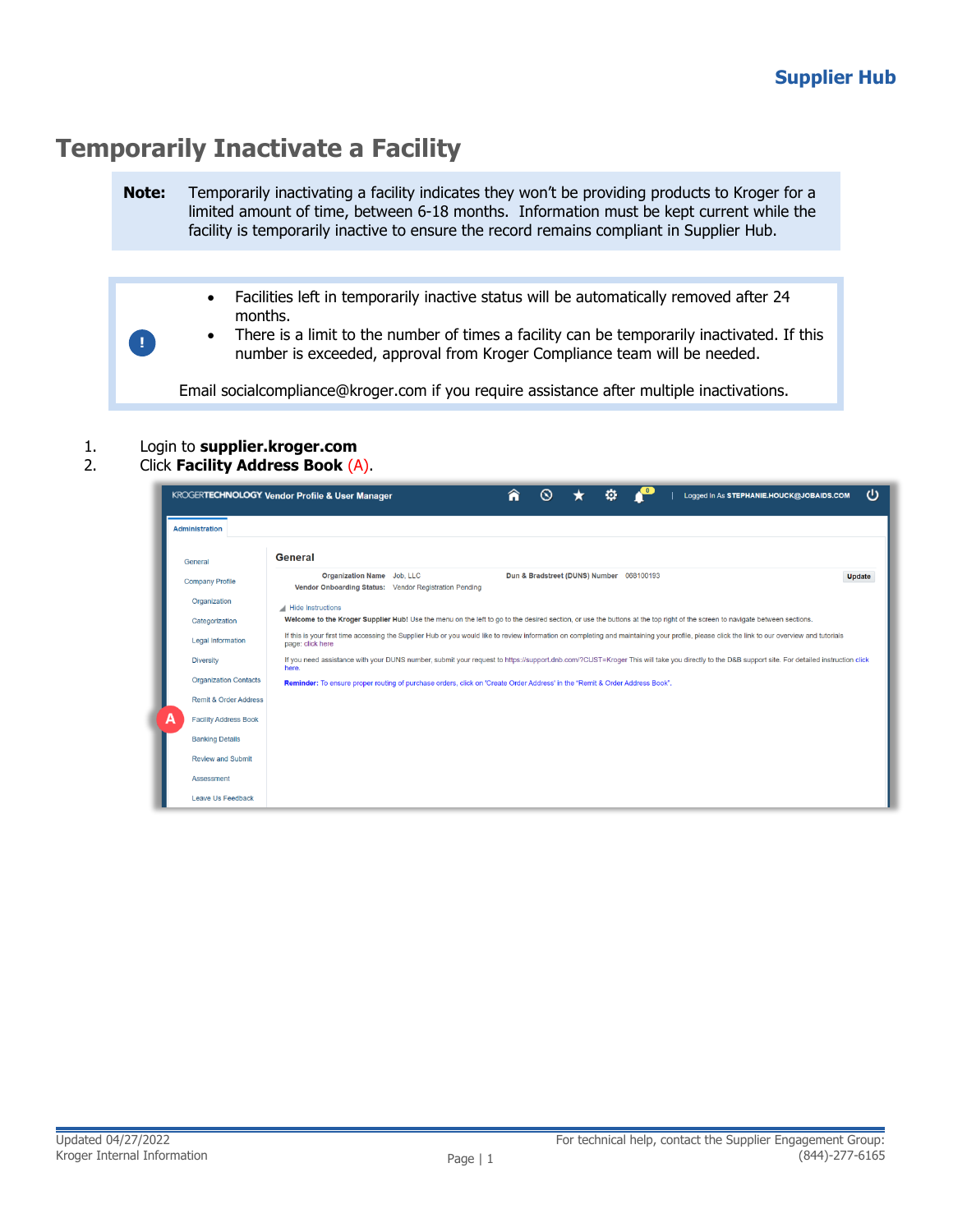# **Temporarily Inactivate a Facility**

- **Note:** Temporarily inactivating a facility indicates they won't be providing products to Kroger for a limited amount of time, between 6-18 months. Information must be kept current while the facility is temporarily inactive to ensure the record remains compliant in Supplier Hub.
	- Facilities left in temporarily inactive status will be automatically removed after 24 months.
	- There is a limit to the number of times a facility can be temporarily inactivated. If this number is exceeded, approval from Kroger Compliance team will be needed.

Email socialcompliance@kroger.com if you require assistance after multiple inactivations.

### 1. Login to **supplier.kroger.com**

**!**

### 2. Click **Facility Address Book** (A).

|                                   | ወ<br>KROGERTECHNOLOGY Vendor Profile & User Manager<br>$\circ$<br>ю<br>Logged In As STEPHANIE.HOUCK@JOBAIDS.COM                                                                                                   |
|-----------------------------------|-------------------------------------------------------------------------------------------------------------------------------------------------------------------------------------------------------------------|
| <b>Administration</b>             |                                                                                                                                                                                                                   |
| General                           | <b>General</b>                                                                                                                                                                                                    |
| <b>Company Profile</b>            | Organization Name Job, LLC<br>Dun & Bradstreet (DUNS) Number 068100193<br>Update<br>Vendor Onboarding Status: Vendor Registration Pending                                                                         |
| Organization                      | <b>Hide Instructions</b>                                                                                                                                                                                          |
| Categorization                    | Welcome to the Kroger Supplier Hub! Use the menu on the left to go to the desired section, or use the buttons at the top right of the screen to navigate between sections.                                        |
| <b>Legal Information</b>          | If this is your first time accessing the Supplier Hub or you would like to review information on completing and maintaining your profile, please click the link to our overview and tutorials<br>page: click here |
| <b>Diversity</b>                  | If you need assistance with your DUNS number, submit your request to https://support.dnb.com/?CUST=Kroger This will take you directly to the D&B support site. For detailed instruction click<br>here.            |
| <b>Organization Contacts</b>      | Reminder: To ensure proper routing of purchase orders, click on 'Create Order Address' in the "Remit & Order Address Book".                                                                                       |
| <b>Remit &amp; Order Address</b>  |                                                                                                                                                                                                                   |
| А<br><b>Facility Address Book</b> |                                                                                                                                                                                                                   |
| <b>Banking Details</b>            |                                                                                                                                                                                                                   |
| <b>Review and Submit</b>          |                                                                                                                                                                                                                   |
| Assessment                        |                                                                                                                                                                                                                   |
| Leave Us Feedback                 |                                                                                                                                                                                                                   |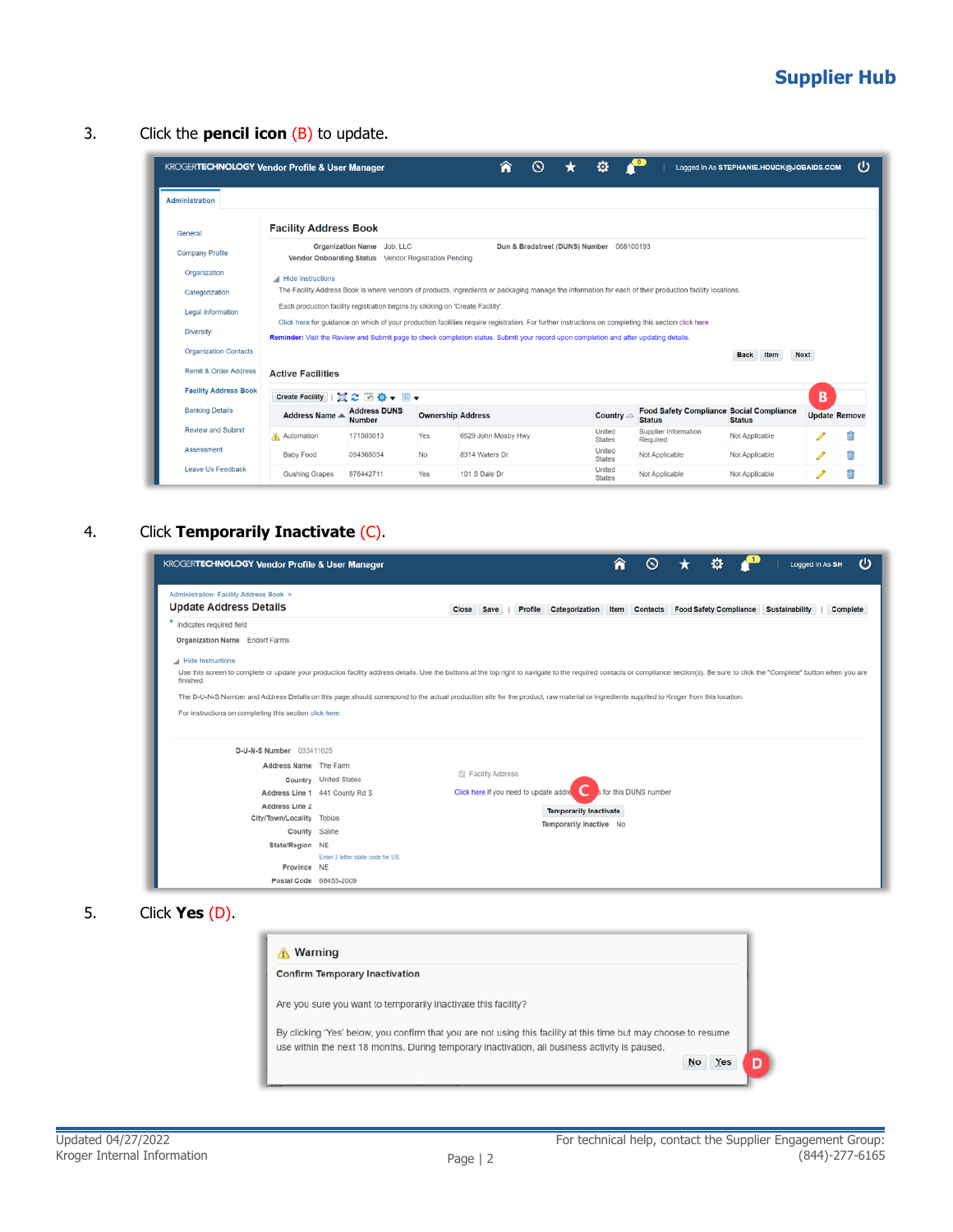# **Supplier Hub**

3. Click the **pencil icon** (B) to update.

| KROGERTECHNOLOGY Vendor Profile & User Manager |                                                                                                                                       |                                                                                           | ⋒                        | $_{\odot}$          | o |                                          | Logged In As STEPHANIE.HOUCK@JOBAIDS.COM                                                                                                                 |                     | ወ           |                      |
|------------------------------------------------|---------------------------------------------------------------------------------------------------------------------------------------|-------------------------------------------------------------------------------------------|--------------------------|---------------------|---|------------------------------------------|----------------------------------------------------------------------------------------------------------------------------------------------------------|---------------------|-------------|----------------------|
| <b>Administration</b>                          |                                                                                                                                       |                                                                                           |                          |                     |   |                                          |                                                                                                                                                          |                     |             |                      |
| General                                        | <b>Facility Address Book</b>                                                                                                          |                                                                                           |                          |                     |   |                                          |                                                                                                                                                          |                     |             |                      |
| <b>Company Profile</b>                         |                                                                                                                                       | <b>Organization Name</b> Job, LLC<br>Vendor Onboarding Status Vendor Registration Pending |                          |                     |   | Dun & Bradstreet (DUNS) Number 068100193 |                                                                                                                                                          |                     |             |                      |
| Organization                                   | <b>Hide Instructions</b>                                                                                                              |                                                                                           |                          |                     |   |                                          |                                                                                                                                                          |                     |             |                      |
| Categorization                                 |                                                                                                                                       |                                                                                           |                          |                     |   |                                          | The Facility Address Book is where vendors of products, ingredients or packaging manage the information for each of their production facility locations. |                     |             |                      |
| <b>Legal Information</b>                       | Each production facility registration begins by clicking on 'Create Facility'.                                                        |                                                                                           |                          |                     |   |                                          |                                                                                                                                                          |                     |             |                      |
| <b>Diversity</b>                               | Reminder: Visit the Review and Submit page to check completion status. Submit your record upon completion and after updating details. |                                                                                           |                          |                     |   |                                          | Click here for guidance on which of your production facilities require registration. For further instructions on completing this section click here      |                     |             |                      |
| <b>Organization Contacts</b>                   |                                                                                                                                       |                                                                                           |                          |                     |   |                                          |                                                                                                                                                          | <b>Back</b><br>Item | <b>Next</b> |                      |
| <b>Remit &amp; Order Address</b>               | <b>Active Facilities</b>                                                                                                              |                                                                                           |                          |                     |   |                                          |                                                                                                                                                          |                     |             |                      |
| <b>Facility Address Book</b>                   | <b>Create Facility</b>                                                                                                                | 画 2 画 章 ▼ 画 ▼                                                                             |                          |                     |   |                                          |                                                                                                                                                          |                     | B           |                      |
| <b>Banking Details</b>                         | Address Name                                                                                                                          | <b>Address DUNS</b><br><b>Number</b>                                                      | <b>Ownership Address</b> |                     |   | Country $\triangle$                      | <b>Food Safety Compliance Social Compliance</b><br><b>Status</b>                                                                                         | <b>Status</b>       |             | <b>Update Remove</b> |
| <b>Review and Submit</b>                       | Automation                                                                                                                            | 171503613                                                                                 | Yes                      | 6529 John Mosby Hwy |   | United<br><b>States</b>                  | Supplier Information<br>Required                                                                                                                         | Not Applicable      |             | Ħ                    |
| Assessment                                     | Baby Food                                                                                                                             | 094368034                                                                                 | No                       | 8314 Waters Dr      |   | United<br><b>States</b>                  | Not Applicable                                                                                                                                           | Not Applicable      |             | û                    |
| Leave Us Feedback                              | Gushing Grapes                                                                                                                        | 876442711                                                                                 | Yes                      | 101 S Dale Dr       |   | United<br><b>States</b>                  | Not Applicable                                                                                                                                           | Not Applicable      |             |                      |

### 4. Click **Temporarily Inactivate** (C).

| KROGERTECHNOLOGY Vendor Profile & User Manager                                                                                                                                                                                              |                                                         |                                        |                               | m | $\circ$                | o                             |                       | Logged In As SH | υ        |
|---------------------------------------------------------------------------------------------------------------------------------------------------------------------------------------------------------------------------------------------|---------------------------------------------------------|----------------------------------------|-------------------------------|---|------------------------|-------------------------------|-----------------------|-----------------|----------|
| Administration: Facility Address Book ><br><b>Update Address Details</b>                                                                                                                                                                    |                                                         | Profile<br><b>Close</b><br>Save        | Categorization Item Contacts  |   |                        | <b>Food Safety Compliance</b> | <b>Sustainability</b> |                 | Complete |
| Indicates required field                                                                                                                                                                                                                    |                                                         |                                        |                               |   |                        |                               |                       |                 |          |
| Organization Name Endorf Farms                                                                                                                                                                                                              |                                                         |                                        |                               |   |                        |                               |                       |                 |          |
| Hide Instructions                                                                                                                                                                                                                           |                                                         |                                        |                               |   |                        |                               |                       |                 |          |
| Use this screen to complete or update your production facility address details. Use the buttons at the top right to navigate to the required contacts or compliance section(s). Be sure to click the "Complete" button when yo<br>finished. |                                                         |                                        |                               |   |                        |                               |                       |                 |          |
| The D-U-N-S Number and Address Details on this page should correspond to the actual production site for the product, raw material or ingredients supplied to Kroger from this location.                                                     |                                                         |                                        |                               |   |                        |                               |                       |                 |          |
|                                                                                                                                                                                                                                             |                                                         |                                        |                               |   |                        |                               |                       |                 |          |
| For instructions on completing this section click here                                                                                                                                                                                      |                                                         |                                        |                               |   |                        |                               |                       |                 |          |
| D-U-N-S Number 033411625                                                                                                                                                                                                                    |                                                         |                                        |                               |   |                        |                               |                       |                 |          |
| Address Name The Farm                                                                                                                                                                                                                       |                                                         | Facility Address                       |                               |   |                        |                               |                       |                 |          |
|                                                                                                                                                                                                                                             | Country United States<br>Address Line 1 441 County Rd S | Click here if you need to update addre |                               |   | s for this DUNS number |                               |                       |                 |          |
| <b>Address Line 2</b>                                                                                                                                                                                                                       |                                                         |                                        |                               |   |                        |                               |                       |                 |          |
| City/Town/Locality                                                                                                                                                                                                                          | Tobias                                                  |                                        | <b>Temporarily Inactivate</b> |   |                        |                               |                       |                 |          |
| County Saline                                                                                                                                                                                                                               |                                                         |                                        | Temporarily Inactive No       |   |                        |                               |                       |                 |          |
| State/Region NE                                                                                                                                                                                                                             |                                                         |                                        |                               |   |                        |                               |                       |                 |          |
| Province NE                                                                                                                                                                                                                                 | Enter 2 letter state code for US                        |                                        |                               |   |                        |                               |                       |                 |          |

5. Click **Yes** (D).

| Warning                                                                                                                                                                                                           |           |     |
|-------------------------------------------------------------------------------------------------------------------------------------------------------------------------------------------------------------------|-----------|-----|
| <b>Confirm Temporary Inactivation</b>                                                                                                                                                                             |           |     |
| Are you sure you want to temporarily inactivate this facility?                                                                                                                                                    |           |     |
| By clicking 'Yes' below, you confirm that you are not using this facility at this time but may choose to resume<br>use within the next 18 months. During temporary inactivation, all business activity is paused. |           |     |
|                                                                                                                                                                                                                   | <b>No</b> | Yes |